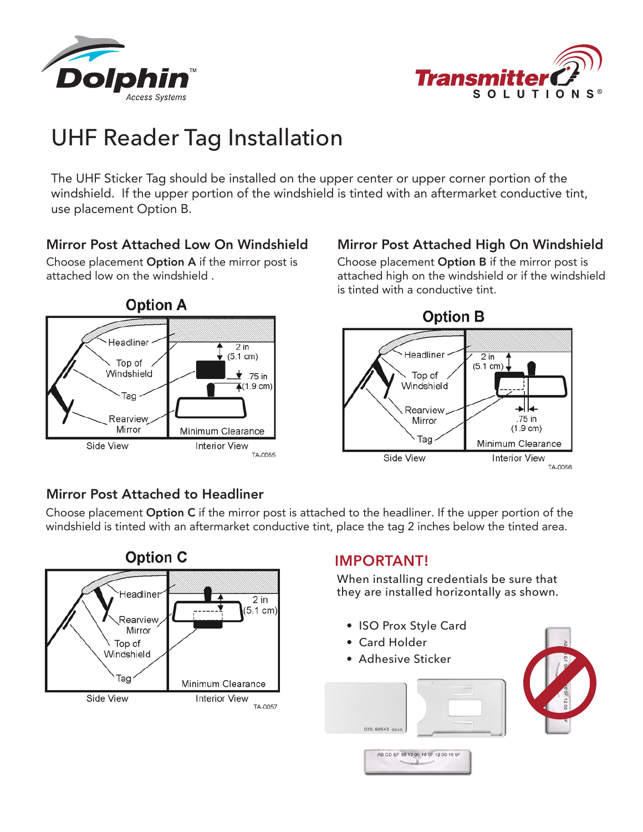



# UHF Reader Tag Installation

The UHF Sticker Tag should be installed on the upper center or upper corner portion of the windshield. If the upper portion of the windshield is tinted with an aftermarket conductive tint, use placement Option B.

### Mirror Post Attached Low On Windshield

Choose placement Option A if the mirror post is attached low on the windshield .



### Mirror Post Attached High On Windshield

Choose placement Option B if the mirror post is attached high on the windshield or if the windshield is tinted with a conductive tint.



### Mirror Post Attached to Headliner

Choose placement Option C if the mirror post is attached to the headliner. If the upper portion of the windshield is tinted with an aftermarket conductive tint, place the tag 2 inches below the tinted area.



## **IMPORTANT!**

When installing credentials be sure that they are installed horizontally as shown.

- ISO Prox Style Card
- Card Holder
- Adhesive Sticker

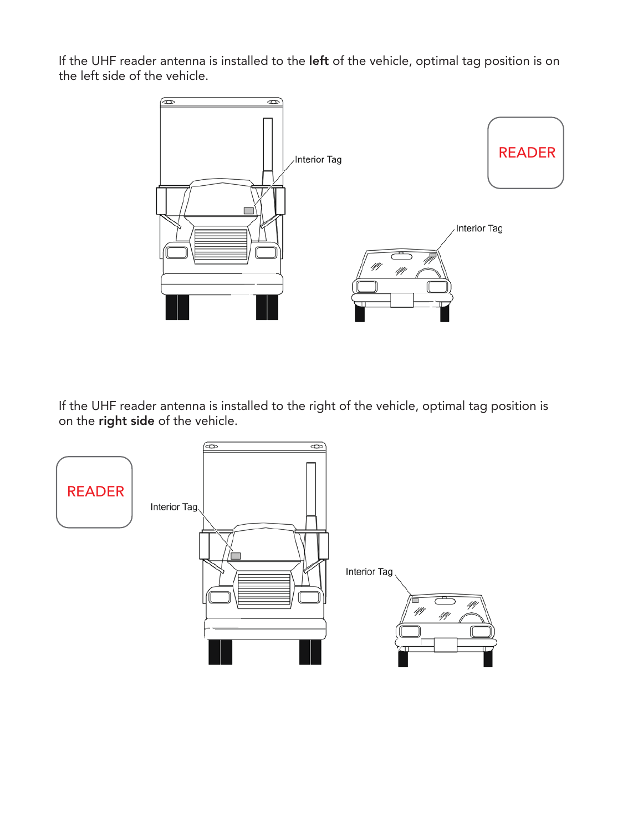If the UHF reader antenna is installed to the left of the vehicle, optimal tag position is on the left side of the vehicle.



If the UHF reader antenna is installed to the right of the vehicle, optimal tag position is on the right side of the vehicle.